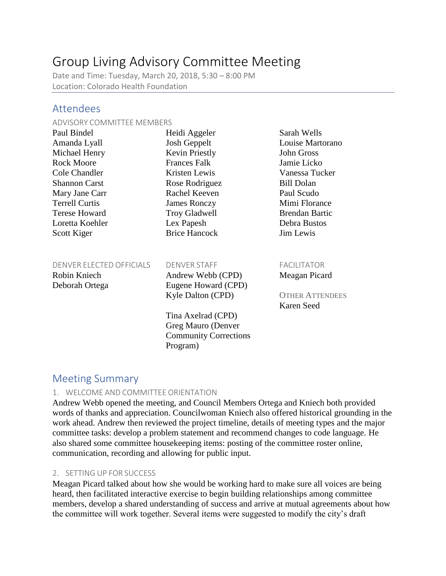# Group Living Advisory Committee Meeting

Date and Time: Tuesday, March 20, 2018, 5:30 – 8:00 PM Location: Colorado Health Foundation

# Attendees

#### ADVISORY COMMITTEE MEMBERS

| Paul Bindel           | Heidi Aggeler         | Sarah Wells           |
|-----------------------|-----------------------|-----------------------|
| Amanda Lyall          | <b>Josh Geppelt</b>   | Louise Martorano      |
| Michael Henry         | <b>Kevin Priestly</b> | <b>John Gross</b>     |
| <b>Rock Moore</b>     | <b>Frances Falk</b>   | Jamie Licko           |
| Cole Chandler         | Kristen Lewis         | Vanessa Tucker        |
| <b>Shannon Carst</b>  | Rose Rodriguez        | <b>Bill Dolan</b>     |
| Mary Jane Carr        | Rachel Keeven         | Paul Scudo            |
| <b>Terrell Curtis</b> | <b>James Ronczy</b>   | Mimi Florance         |
| Terese Howard         | <b>Troy Gladwell</b>  | <b>Brendan Bartic</b> |
| Loretta Koehler       | Lex Papesh            | Debra Bustos          |
| Scott Kiger           | <b>Brice Hancock</b>  | Jim Lewis             |
|                       |                       |                       |
|                       |                       |                       |

#### DENVER ELECTED OFFICIALS DENVER STAFF FACILITATOR

Robin Kniech Andrew Webb (CPD) Meagan Picard Deborah Ortega Eugene Howard (CPD) Kyle Dalton (CPD) OTHER ATTENDEES

> Tina Axelrad (CPD) Greg Mauro (Denver Community Corrections Program)

Karen Seed

# Meeting Summary

#### 1. WELCOME AND COMMITTEE ORIENTATION

Andrew Webb opened the meeting, and Council Members Ortega and Kniech both provided words of thanks and appreciation. Councilwoman Kniech also offered historical grounding in the work ahead. Andrew then reviewed the project timeline, details of meeting types and the major committee tasks: develop a problem statement and recommend changes to code language. He also shared some committee housekeeping items: posting of the committee roster online, communication, recording and allowing for public input.

### 2. SETTING UP FOR SUCCESS

Meagan Picard talked about how she would be working hard to make sure all voices are being heard, then facilitated interactive exercise to begin building relationships among committee members, develop a shared understanding of success and arrive at mutual agreements about how the committee will work together. Several items were suggested to modify the city's draft